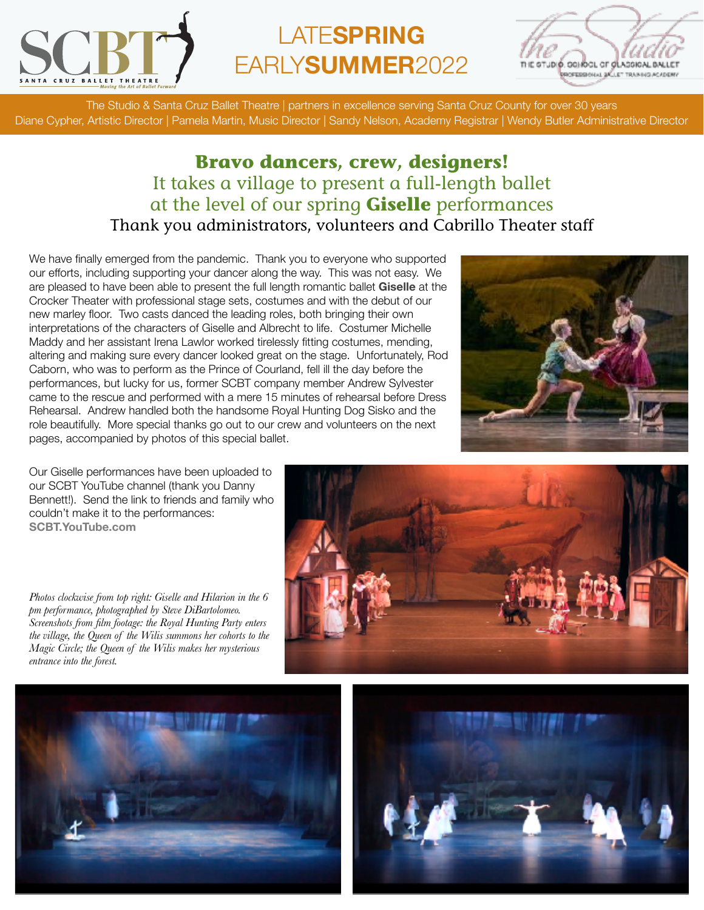

## LATE**SPRING**  EARLY**SUMMER**2022



The Studio & Santa Cruz Ballet Theatre | partners in excellence serving Santa Cruz County for over 30 years Diane Cypher, Artistic Director | Pamela Martin, Music Director | Sandy Nelson, Academy Registrar | Wendy Butler Administrative Director

## **Bravo dancers, crew, designers!** It takes a village to present a full-length ballet at the level of our spring **Giselle** performances Thank you administrators, volunteers and Cabrillo Theater staff

We have finally emerged from the pandemic. Thank you to everyone who supported our efforts, including supporting your dancer along the way. This was not easy. We are pleased to have been able to present the full length romantic ballet **Giselle** at the Crocker Theater with professional stage sets, costumes and with the debut of our new marley floor. Two casts danced the leading roles, both bringing their own interpretations of the characters of Giselle and Albrecht to life. Costumer Michelle Maddy and her assistant Irena Lawlor worked tirelessly fitting costumes, mending, altering and making sure every dancer looked great on the stage. Unfortunately, Rod Caborn, who was to perform as the Prince of Courland, fell ill the day before the performances, but lucky for us, former SCBT company member Andrew Sylvester came to the rescue and performed with a mere 15 minutes of rehearsal before Dress Rehearsal. Andrew handled both the handsome Royal Hunting Dog Sisko and the role beautifully. More special thanks go out to our crew and volunteers on the next pages, accompanied by photos of this special ballet.



Our Giselle performances have been uploaded to our SCBT YouTube channel (thank you Danny Bennett!). Send the link to friends and family who couldn't make it to the performances: **[SCBT.YouTube.com](https://www.youtube.com/channel/UCWOZosB5apMYHki6J-ocNsQ)**